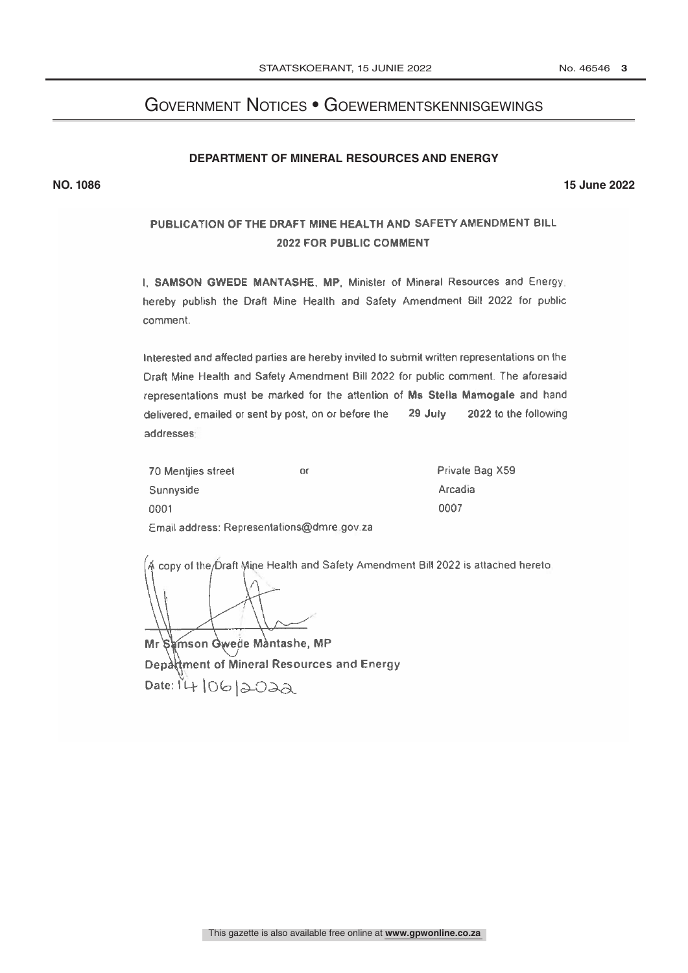# Government Notices • Goewermentskennisgewings

## **DEPARTMENT OF MINERAL RESOURCES AND ENERGY**

**NO. 1086 15 June 2022**

## PUBLICATION OF THE DRAFT MINE HEALTH AND SAFETY AMENDMENT BILL 2022 FOR PUBLIC COMMENT

I, SAMSON GWEDE MANTASHE, MP, Minister of Mineral Resources and Energy. hereby publish the Draft Mine Health and Safety Amendment Bill 2022 for public comment.

Interested and affected parties are hereby invited to submit written representations on the Draft Mine Health and Safety Amendment Bill 2022 for public comment. The aforesaid representations must be marked for the attention of Ms Stella Mamogale and hand delivered, emailed or sent by post, on or before the 29 July 2022 to the following addresses

| 70 Mentiles street                         | or | Private Bag X59 |
|--------------------------------------------|----|-----------------|
| Sunnyside                                  |    | Arcadia         |
| 0001                                       |    | 0007            |
| Email address: Representations@dmre.gov.za |    |                 |

A copy of the Oraft Mine Health and Safety Amendment Bill 2022 is attached hereto.

Mr Samson Gwede Mantashe, MP Department of Mineral Resources and Energy Date: 14/06/2022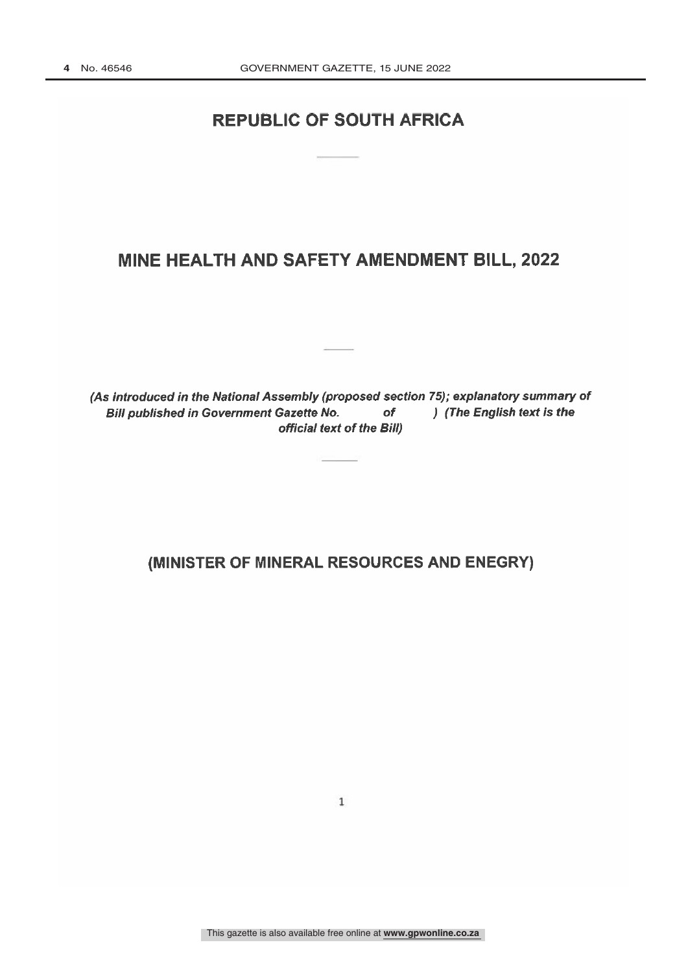# **REPUBLIC OF SOUTH AFRICA**

## MINE HEALTH AND SAFETY AMENDMENT BILL, 2022

(As introduced in the National Assembly (proposed section 75); explanatory summary of **Bill published in Government Gazette No.**  $of$ ) (The English text is the official text of the Bill)

(MINISTER OF MINERAL RESOURCES AND ENEGRY)

 $1\,$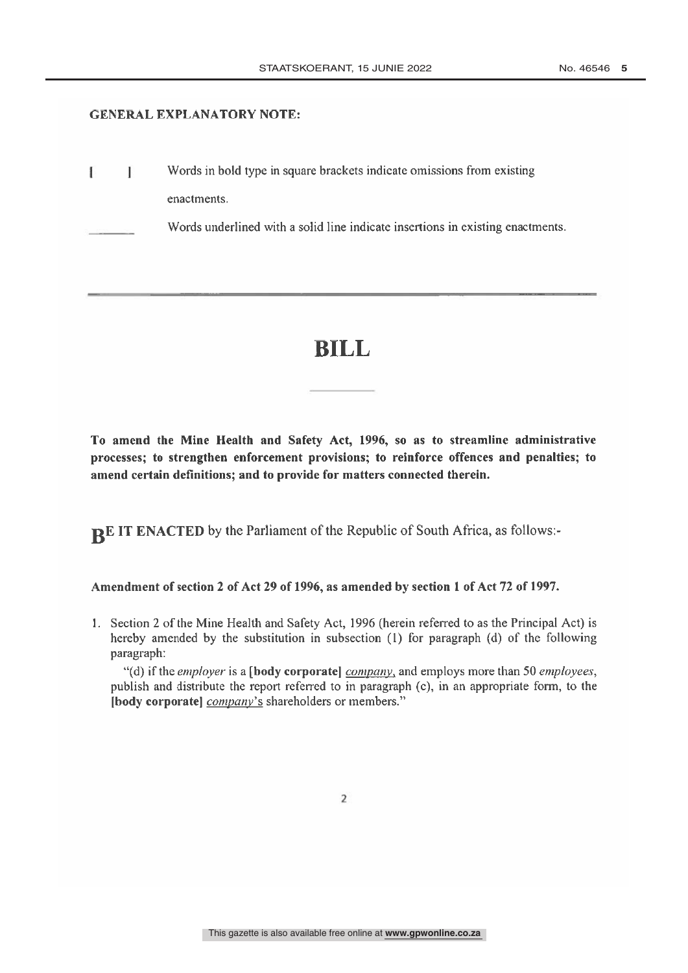## **GENERAL EXPLANATORY NOTE:**

Words in bold type in square brackets indicate omissions from existing E Ť enactments.

Words underlined with a solid line indicate insertions in existing enactments.

# **BILL**

To amend the Mine Health and Safety Act, 1996, so as to streamline administrative processes; to strengthen enforcement provisions; to reinforce offences and penalties; to amend certain definitions; and to provide for matters connected therein.

RE IT ENACTED by the Parliament of the Republic of South Africa, as follows:-

## Amendment of section 2 of Act 29 of 1996, as amended by section 1 of Act 72 of 1997.

1. Section 2 of the Mine Health and Safety Act, 1996 (herein referred to as the Principal Act) is hereby amended by the substitution in subsection (1) for paragraph (d) of the following paragraph:

"(d) if the employer is a [body corporate] company, and employs more than 50 employees, publish and distribute the report referred to in paragraph (c), in an appropriate form, to the [body corporate] *company*'s shareholders or members."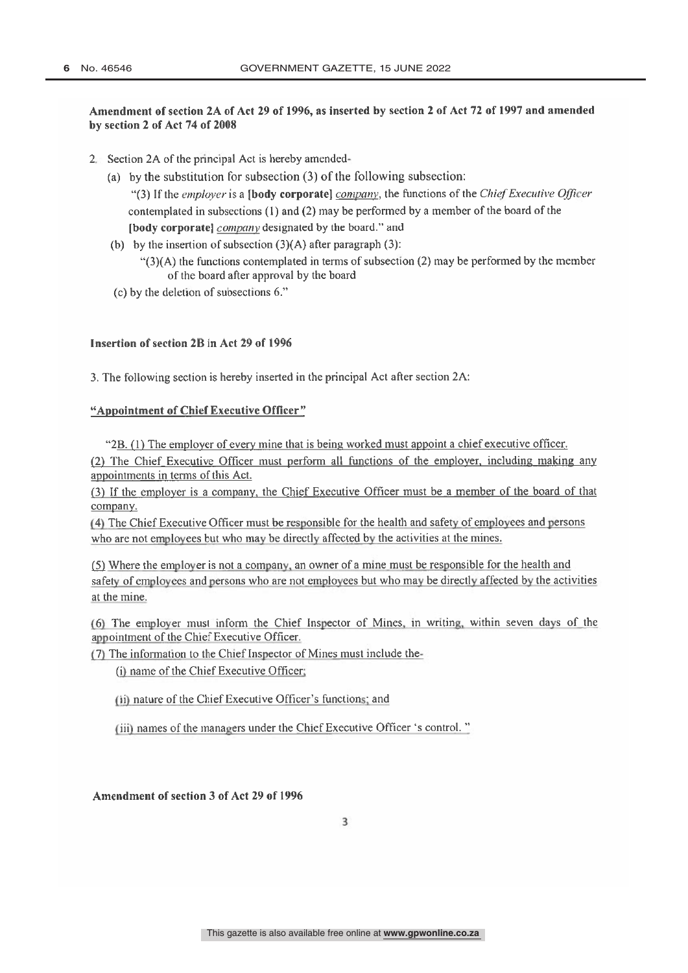## Amendment of section 2A of Act 29 of 1996, as inserted by section 2 of Act 72 of 1997 and amended by section 2 of Act 74 of 2008

- 2. Section 2A of the principal Act is hereby amended-
	- (a) by the substitution for subsection  $(3)$  of the following subsection:

"(3) If the employer is a [body corporate] company, the functions of the Chief Executive Officer contemplated in subsections  $(1)$  and  $(2)$  may be performed by a member of the board of the [body corporate] *company* designated by the board." and

(b) by the insertion of subsection  $(3)(A)$  after paragraph  $(3)$ :

" $(3)(A)$  the functions contemplated in terms of subsection (2) may be performed by the member of the board after approval by the board

(c) by the deletion of subsections 6."

#### **Insertion of section 2B in Act 29 of 1996**

3. The following section is hereby inserted in the principal Act after section 2A:

### "Appointment of Chief Executive Officer"

"2B. (1) The employer of every mine that is being worked must appoint a chief executive officer.

(2) The Chief Executive Officer must perform all functions of the employer, including making any appointments in terms of this Act.

(3) If the employer is a company, the Chief Executive Officer must be a member of the board of that company.

(4) The Chief Executive Officer must be responsible for the health and safety of employees and persons who are not employees but who may be directly affected by the activities at the mines.

(5) Where the employer is not a company, an owner of a mine must be responsible for the health and safety of employees and persons who are not employees but who may be directly affected by the activities at the mine.

(6) The employer must inform the Chief Inspector of Mines, in writing, within seven days of the appointment of the Chief Executive Officer.

(7) The information to the Chief Inspector of Mines must include the-

(i) name of the Chief Executive Officer;

(ii) nature of the Chief Executive Officer's functions; and

(iii) names of the managers under the Chief Executive Officer 's control."

Amendment of section 3 of Act 29 of 1996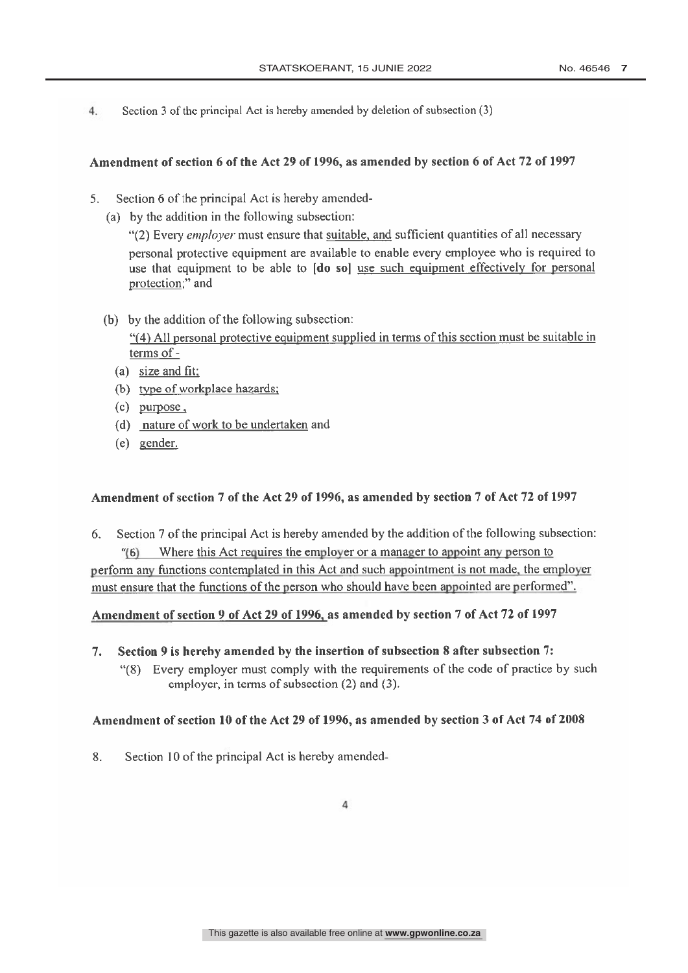Section 3 of the principal Act is hereby amended by deletion of subsection (3)  $4.$ 

## Amendment of section 6 of the Act 29 of 1996, as amended by section 6 of Act 72 of 1997

- Section 6 of the principal Act is hereby amended- $5<sub>1</sub>$ 
	- (a) by the addition in the following subsection:

"(2) Every employer must ensure that suitable, and sufficient quantities of all necessary personal protective equipment are available to enable every employee who is required to use that equipment to be able to [do so] use such equipment effectively for personal protection;" and

(b) by the addition of the following subsection:

"(4) All personal protective equipment supplied in terms of this section must be suitable in terms of -

- (a) size and fit;
- (b) type of workplace hazards;
- $(c)$  purpose,
- (d) nature of work to be undertaken and
- (e) gender.

## Amendment of section 7 of the Act 29 of 1996, as amended by section 7 of Act 72 of 1997

Section 7 of the principal Act is hereby amended by the addition of the following subsection: 6. Where this Act requires the employer or a manager to appoint any person to  $^{\prime\prime}(6)$ perform any functions contemplated in this Act and such appointment is not made, the employer must ensure that the functions of the person who should have been appointed are performed".

## Amendment of section 9 of Act 29 of 1996, as amended by section 7 of Act 72 of 1997

- $7.$ Section 9 is hereby amended by the insertion of subsection 8 after subsection 7:
	- "(8) Every employer must comply with the requirements of the code of practice by such employer, in terms of subsection (2) and (3).

## Amendment of section 10 of the Act 29 of 1996, as amended by section 3 of Act 74 of 2008

8. Section 10 of the principal Act is hereby amended-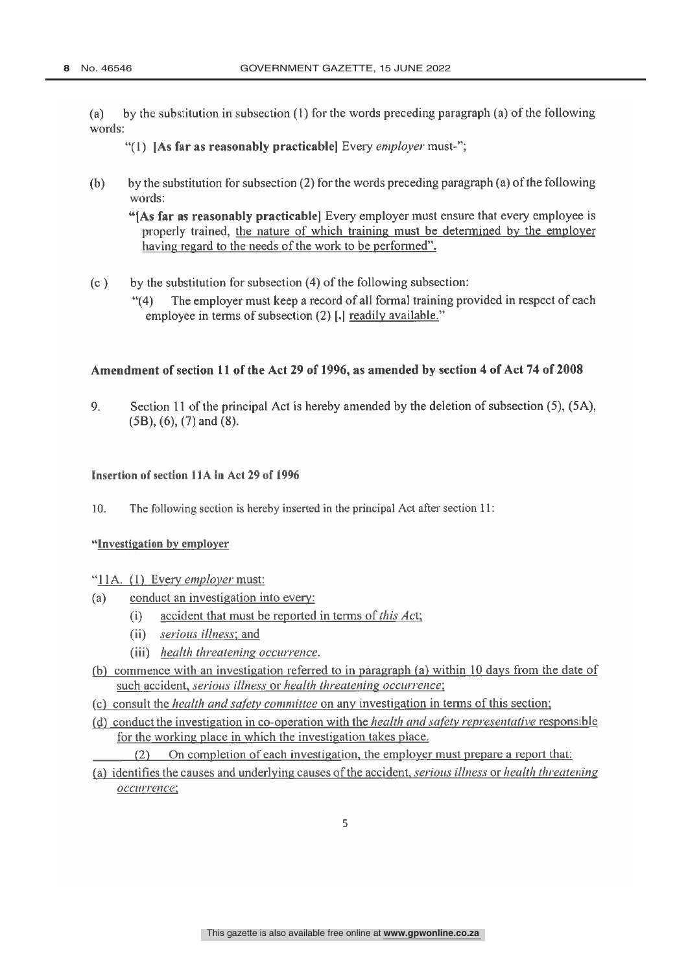by the substitution in subsection  $(1)$  for the words preceding paragraph (a) of the following  $(a)$ words:

"(1) [As far as reasonably practicable] Every employer must-";

by the substitution for subsection (2) for the words preceding paragraph (a) of the following  $(b)$ words:

"[As far as reasonably practicable] Every employer must ensure that every employee is properly trained, the nature of which training must be determined by the employer having regard to the needs of the work to be performed".

 $(c)$ by the substitution for subsection (4) of the following subsection:

> The employer must keep a record of all formal training provided in respect of each  $(4)$ employee in terms of subsection (2) [.] readily available."

## Amendment of section 11 of the Act 29 of 1996, as amended by section 4 of Act 74 of 2008

Section 11 of the principal Act is hereby amended by the deletion of subsection (5), (5A), 9.  $(5B)$ ,  $(6)$ ,  $(7)$  and  $(8)$ .

### Insertion of section 11A in Act 29 of 1996

 $10.$ The following section is hereby inserted in the principal Act after section 11:

#### "Investigation by employer

## "11A. (1) Every employer must:

- conduct an investigation into every:  $(a)$ 
	- accident that must be reported in terms of this Act;  $(i)$
	- (ii) serious illness; and
	- (iii) health threatening occurrence.
- (b) commence with an investigation referred to in paragraph (a) within 10 days from the date of such accident, serious illness or health threatening occurrence;
- (c) consult the *health and safety committee* on any investigation in terms of this section;
- (d) conduct the investigation in co-operation with the *health and safety representative* responsible for the working place in which the investigation takes place.
	- On completion of each investigation, the employer must prepare a report that:  $(2)$
- (a) identifies the causes and underlying causes of the accident, *serious illness* or *health threatening* occurrence: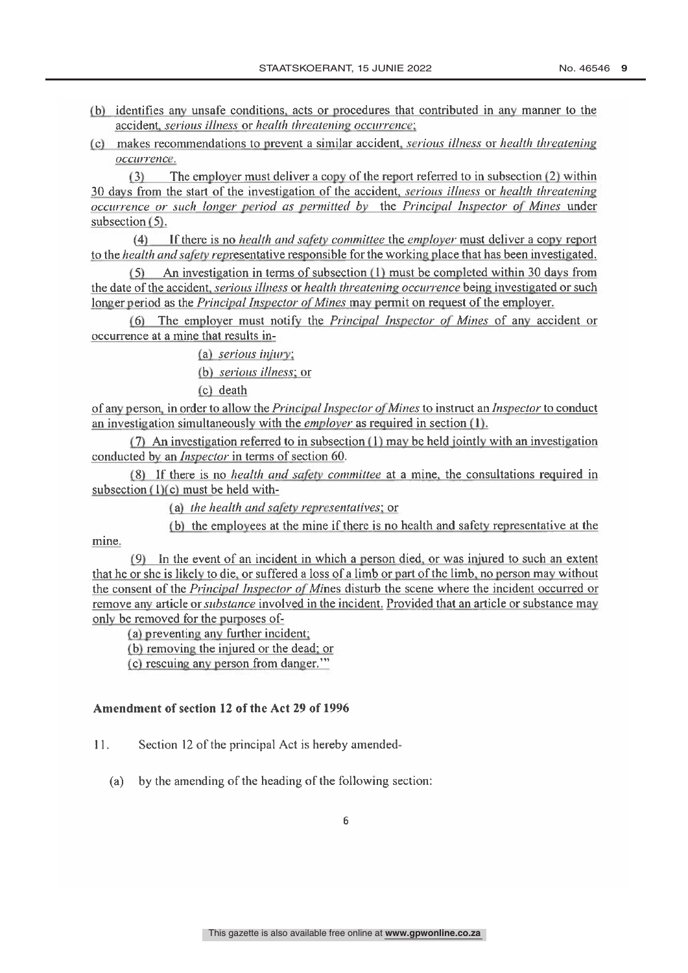- (b) identifies any unsafe conditions, acts or procedures that contributed in any manner to the accident, serious illness or health threatening occurrence;
- (c) makes recommendations to prevent a similar accident, *serious illness* or *health threatening* occurrence:

The employer must deliver a copy of the report referred to in subsection (2) within  $(3)$ 30 days from the start of the investigation of the accident, *serious illness* or *health threatening* occurrence or such longer period as permitted by the Principal Inspector of Mines under subsection  $(5)$ .

(4) If there is no *health and safety committee* the *employer* must deliver a copy report to the *health and safety representative responsible* for the working place that has been investigated.

 $(5)$  An investigation in terms of subsection (1) must be completed within 30 days from the date of the accident, *serious illness* or *health threatening occurrence* being investigated or such longer period as the *Principal Inspector of Mines* may permit on request of the employer.

(6) The employer must notify the *Principal Inspector of Mines* of any accident or occurrence at a mine that results in-

(a) serious injury:

(b) serious illness; or

(c) death

of any person, in order to allow the *Principal Inspector of Mines* to instruct an *Inspector* to conduct an investigation simultaneously with the *employer* as required in section (1).

 $(7)$  An investigation referred to in subsection  $(1)$  may be held jointly with an investigation conducted by an *Inspector* in terms of section 60.

(8) If there is no *health and safety committee* at a mine, the consultations required in subsection  $(1)(c)$  must be held with-

(a) the health and safety representatives; or

(b) the employees at the mine if there is no health and safety representative at the

mine.

(9) In the event of an incident in which a person died, or was injured to such an extent that he or she is likely to die, or suffered a loss of a limb or part of the limb, no person may without the consent of the *Principal Inspector of Mines* disturb the scene where the incident occurred or remove any article or *substance* involved in the incident. Provided that an article or substance may only be removed for the purposes of-

(a) preventing any further incident:

(b) removing the injured or the dead; or

(c) rescuing any person from danger."

## Amendment of section 12 of the Act 29 of 1996

 $11.$ Section 12 of the principal Act is hereby amended-

by the amending of the heading of the following section:  $(a)$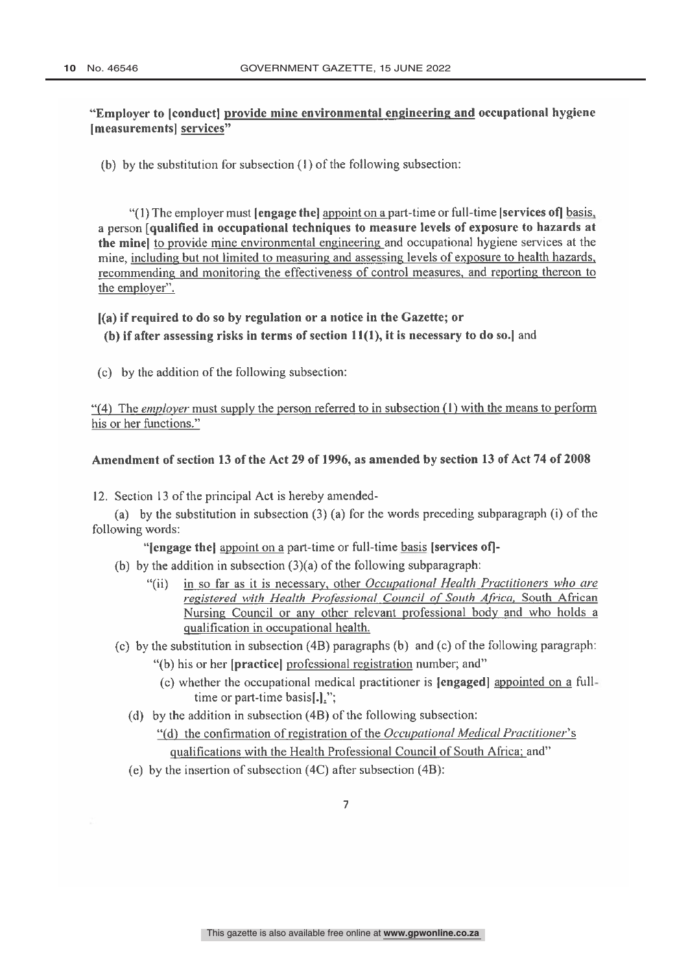## "Employer to conduct provide mine environmental engineering and occupational hygiene [measurements] services"

(b) by the substitution for subsection (1) of the following subsection:

"(1) The employer must **[engage the]** appoint on a part-time or full-time **[services of]** basis, a person [qualified in occupational techniques to measure levels of exposure to hazards at the mine to provide mine environmental engineering and occupational hygiene services at the mine, including but not limited to measuring and assessing levels of exposure to health hazards, recommending and monitoring the effectiveness of control measures, and reporting thereon to the employer".

#### (a) if required to do so by regulation or a notice in the Gazette; or

(b) if after assessing risks in terms of section  $11(1)$ , it is necessary to do so.] and

(c) by the addition of the following subsection:

"(4) The *employer* must supply the person referred to in subsection  $(1)$  with the means to perform his or her functions."

#### Amendment of section 13 of the Act 29 of 1996, as amended by section 13 of Act 74 of 2008

12. Section 13 of the principal Act is hereby amended-

(a) by the substitution in subsection  $(3)$  (a) for the words preceding subparagraph (i) of the following words:

"lengage thel appoint on a part-time or full-time basis [services of]-

- (b) by the addition in subsection  $(3)(a)$  of the following subparagraph:
	- in so far as it is necessary, other Occupational Health Practitioners who are " $(ii)$ registered with Health Professional Council of South Africa, South African Nursing Council or any other relevant professional body and who holds a qualification in occupational health.

## (c) by the substitution in subsection  $(4B)$  paragraphs (b) and (c) of the following paragraph:

- "(b) his or her [practice] professional registration number; and"
- (c) whether the occupational medical practitioner is **[engaged]** appointed on a fulltime or part-time basis[.].";
- (d) by the addition in subsection  $(4B)$  of the following subsection:
	- "(d) the confirmation of registration of the Occupational Medical Practitioner's qualifications with the Health Professional Council of South Africa; and"
- (e) by the insertion of subsection (4C) after subsection (4B):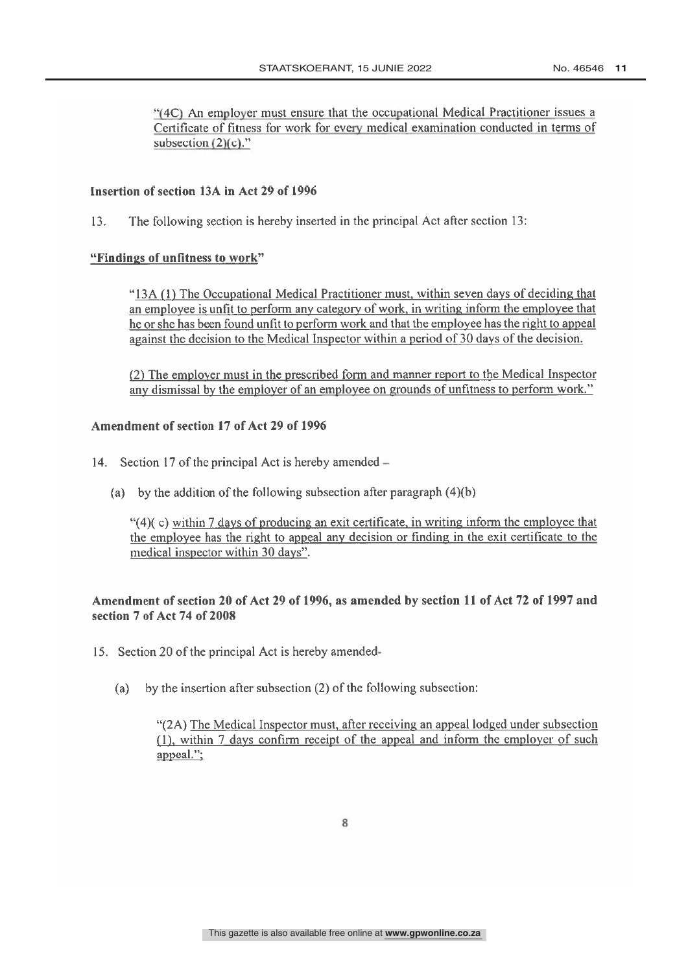"(4C) An employer must ensure that the occupational Medical Practitioner issues a Certificate of fitness for work for every medical examination conducted in terms of subsection  $(2)(c)$ ."

## Insertion of section 13A in Act 29 of 1996

 $13.$ The following section is hereby inserted in the principal Act after section 13:

## "Findings of unfitness to work"

"13A (1) The Occupational Medical Practitioner must, within seven days of deciding that an employee is unfit to perform any category of work, in writing inform the employee that he or she has been found unfit to perform work and that the employee has the right to appeal against the decision to the Medical Inspector within a period of 30 days of the decision.

(2) The employer must in the prescribed form and manner report to the Medical Inspector any dismissal by the employer of an employee on grounds of unfitness to perform work."

## Amendment of section 17 of Act 29 of 1996

- 14. Section 17 of the principal Act is hereby amended  $-$ 
	- (a) by the addition of the following subsection after paragraph  $(4)(b)$

"(4)(c) within 7 days of producing an exit certificate, in writing inform the employee that the employee has the right to appeal any decision or finding in the exit certificate to the medical inspector within 30 days".

## Amendment of section 20 of Act 29 of 1996, as amended by section 11 of Act 72 of 1997 and section 7 of Act 74 of 2008

- 15. Section 20 of the principal Act is hereby amended
	- by the insertion after subsection (2) of the following subsection:  $(a)$

"(2A) The Medical Inspector must, after receiving an appeal lodged under subsection (1), within 7 days confirm receipt of the appeal and inform the employer of such appeal.":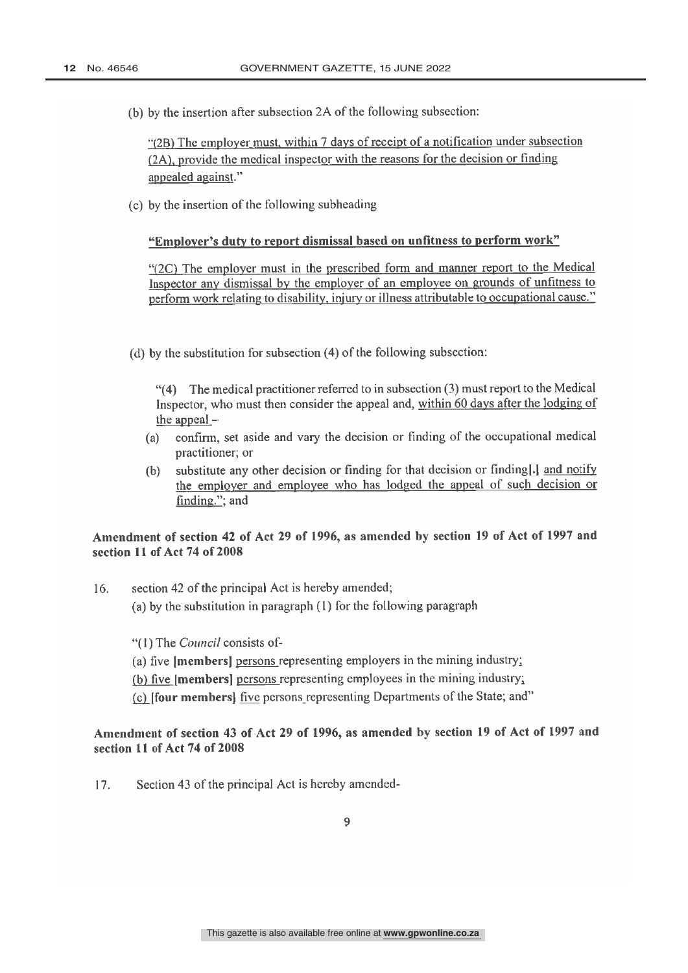(b) by the insertion after subsection 2A of the following subsection:

"(2B) The employer must, within 7 days of receipt of a notification under subsection (2A), provide the medical inspector with the reasons for the decision or finding appealed against."

(c) by the insertion of the following subheading

## "Employer's duty to report dismissal based on unfitness to perform work"

"(2C) The employer must in the prescribed form and manner report to the Medical Inspector any dismissal by the employer of an employee on grounds of unfitness to perform work relating to disability, injury or illness attributable to occupational cause."

(d) by the substitution for subsection  $(4)$  of the following subsection:

The medical practitioner referred to in subsection (3) must report to the Medical  $(4)$ Inspector, who must then consider the appeal and, within 60 days after the lodging of the appeal  $-$ 

- confirm, set aside and vary the decision or finding of the occupational medical  $(a)$ practitioner; or
- substitute any other decision or finding for that decision or finding[.] and notify  $(b)$ the employer and employee who has lodged the appeal of such decision or finding."; and

## Amendment of section 42 of Act 29 of 1996, as amended by section 19 of Act of 1997 and section 11 of Act 74 of 2008

16. section 42 of the principal Act is hereby amended; (a) by the substitution in paragraph  $(1)$  for the following paragraph

"(1) The Council consists of-

(a) five [members] persons representing employers in the mining industry;

(b) five [members] persons representing employees in the mining industry;

(c) **[four members]** five persons representing Departments of the State; and"

Amendment of section 43 of Act 29 of 1996, as amended by section 19 of Act of 1997 and section 11 of Act 74 of 2008

17. Section 43 of the principal Act is hereby amended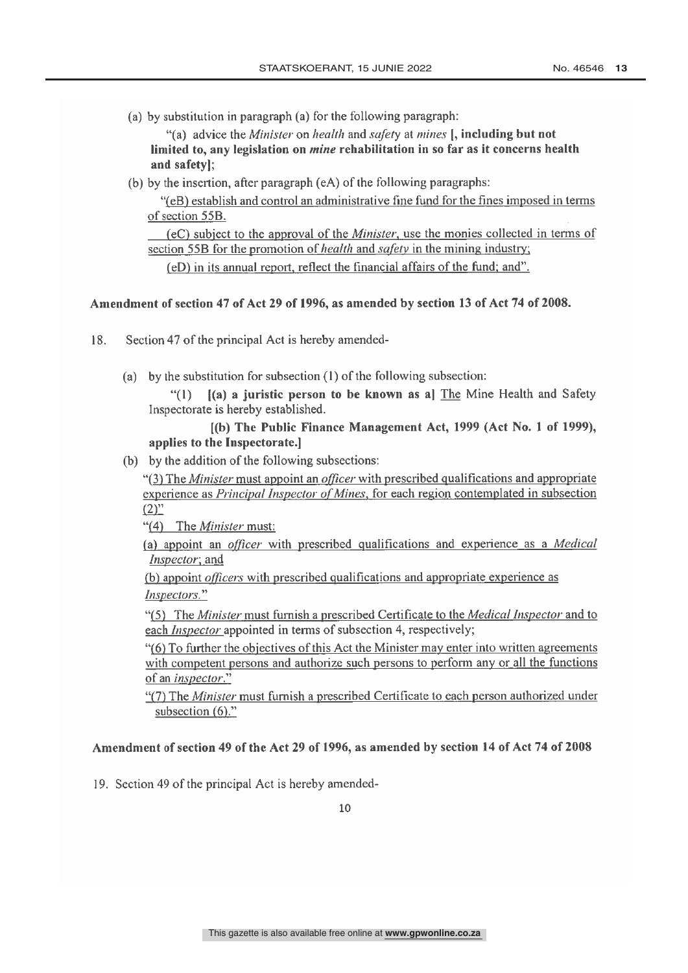(a) by substitution in paragraph (a) for the following paragraph:

"(a) advice the *Minister* on *health* and *safety* at *mines* [, including but not limited to, any legislation on *mine* rehabilitation in so far as it concerns health and safety];

(b) by the insertion, after paragraph (eA) of the following paragraphs:

"(eB) establish and control an administrative fine fund for the fines imposed in terms of section 55B.

(eC) subject to the approval of the *Minister*, use the monies collected in terms of section 55B for the promotion of *health* and *safety* in the mining industry;

(eD) in its annual report, reflect the financial affairs of the fund; and".

## Amendment of section 47 of Act 29 of 1996, as amended by section 13 of Act 74 of 2008.

- 18. Section 47 of the principal Act is hereby amended-
	- (a) by the substitution for subsection  $(1)$  of the following subsection:

 $\frac{4}{1}$  $(a)$  a juristic person to be known as a] The Mine Health and Safety Inspectorate is hereby established.

## [(b) The Public Finance Management Act, 1999 (Act No. 1 of 1999), applies to the Inspectorate.]

(b) by the addition of the following subsections:

"(3) The *Minister* must appoint an *officer* with prescribed qualifications and appropriate experience as Principal Inspector of Mines, for each region contemplated in subsection  $(2)$ "

"(4) The *Minister* must:

(a) appoint an *officer* with prescribed qualifications and experience as a *Medical* Inspector; and

(b) appoint *officers* with prescribed qualifications and appropriate experience as Inspectors."

"(5) The *Minister* must furnish a prescribed Certificate to the *Medical Inspector* and to each *Inspector* appointed in terms of subsection 4, respectively;

"(6) To further the objectives of this Act the Minister may enter into written agreements with competent persons and authorize such persons to perform any or all the functions of an inspector."

"(7) The *Minister* must furnish a prescribed Certificate to each person authorized under subsection  $(6)$ ."

## Amendment of section 49 of the Act 29 of 1996, as amended by section 14 of Act 74 of 2008

19. Section 49 of the principal Act is hereby amended-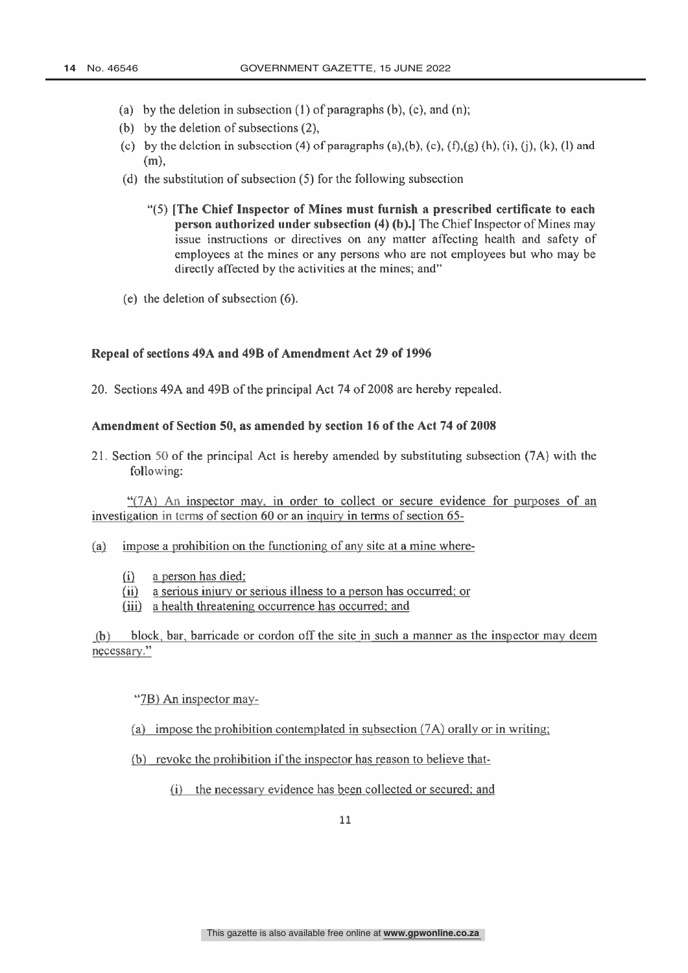- (a) by the deletion in subsection  $(1)$  of paragraphs  $(b)$ ,  $(c)$ , and  $(n)$ ;
- (b) by the deletion of subsections  $(2)$ ,
- (c) by the deletion in subsection (4) of paragraphs (a),(b), (c),  $(f)$ ,(g) (h), (i), (j), (k), (l) and  $(m)$ .
- (d) the substitution of subsection  $(5)$  for the following subsection
	- "(5) [The Chief Inspector of Mines must furnish a prescribed certificate to each person authorized under subsection (4) (b).] The Chief Inspector of Mines may issue instructions or directives on any matter affecting health and safety of employees at the mines or any persons who are not employees but who may be directly affected by the activities at the mines; and"
- (e) the deletion of subsection  $(6)$ .

#### Repeal of sections 49A and 49B of Amendment Act 29 of 1996

20. Sections 49A and 49B of the principal Act 74 of 2008 are hereby repealed.

## Amendment of Section 50, as amended by section 16 of the Act 74 of 2008

21. Section 50 of the principal Act is hereby amended by substituting subsection (7A) with the following:

"(7A) An inspector may, in order to collect or secure evidence for purposes of an investigation in terms of section 60 or an inquiry in terms of section 65-

- impose a prohibition on the functioning of any site at a mine where- $(a)$ 
	- $(i)$ a person has died;
	- $(ii)$ a serious injury or serious illness to a person has occurred; or
	- (iii) a health threatening occurrence has occurred; and

(b) block, bar, barricade or cordon off the site in such a manner as the inspector may deem necessary."

"7B) An inspector may-

- (a) impose the prohibition contemplated in subsection  $(7A)$  orally or in writing:
- (b) revoke the prohibition if the inspector has reason to believe that-
	- (i) the necessary evidence has been collected or secured; and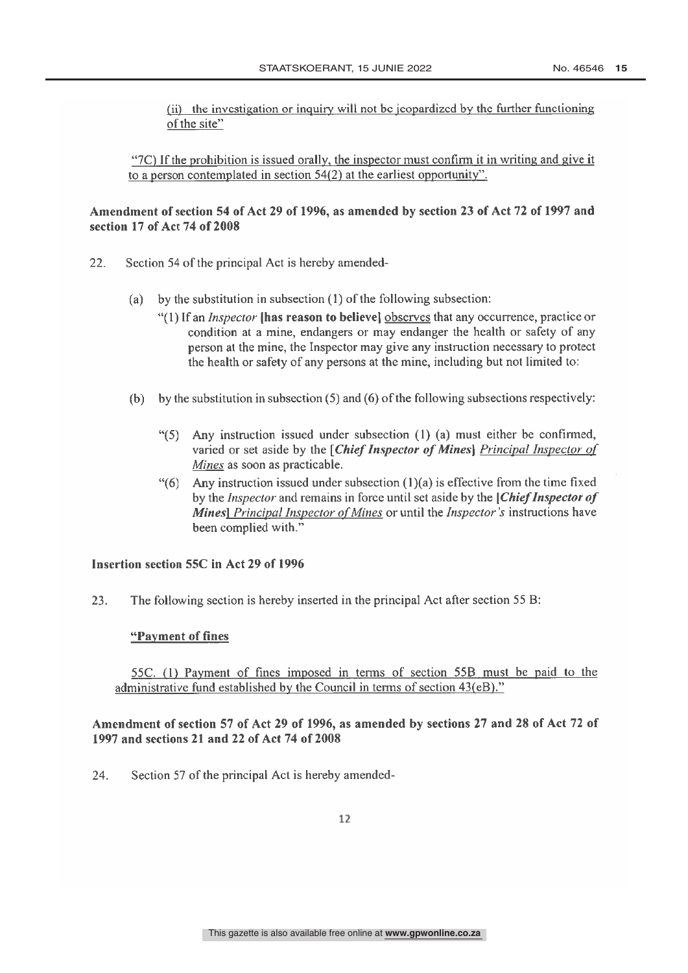(ii) the investigation or inquiry will not be jeopardized by the further functioning of the site"

"7C) If the prohibition is issued orally, the inspector must confirm it in writing and give it to a person contemplated in section  $54(2)$  at the earliest opportunity".

## Amendment of section 54 of Act 29 of 1996, as amended by section 23 of Act 72 of 1997 and section 17 of Act 74 of 2008

- 22. Section 54 of the principal Act is hereby amended
	- by the substitution in subsection  $(1)$  of the following subsection:  $(a)$ 
		- "(1) If an *Inspector* **[has reason to believe]** observes that any occurrence, practice or condition at a mine, endangers or may endanger the health or safety of any person at the mine, the Inspector may give any instruction necessary to protect the health or safety of any persons at the mine, including but not limited to:
	- (b) by the substitution in subsection  $(5)$  and  $(6)$  of the following subsections respectively:
		- "(5) Any instruction issued under subsection (1) (a) must either be confirmed, varied or set aside by the [Chief Inspector of Mines] Principal Inspector of Mines as soon as practicable.
		- "(6) Any instruction issued under subsection  $(1)(a)$  is effective from the time fixed by the *Inspector* and remains in force until set aside by the *Chief Inspector of* Mines] Principal Inspector of Mines or until the Inspector's instructions have been complied with."

## Insertion section 55C in Act 29 of 1996

23. The following section is hereby inserted in the principal Act after section 55 B:

#### "Payment of fines

55C. (1) Payment of fines imposed in terms of section 55B must be paid to the administrative fund established by the Council in terms of section 43(eB)."

## Amendment of section 57 of Act 29 of 1996, as amended by sections 27 and 28 of Act 72 of 1997 and sections 21 and 22 of Act 74 of 2008

24. Section 57 of the principal Act is hereby amended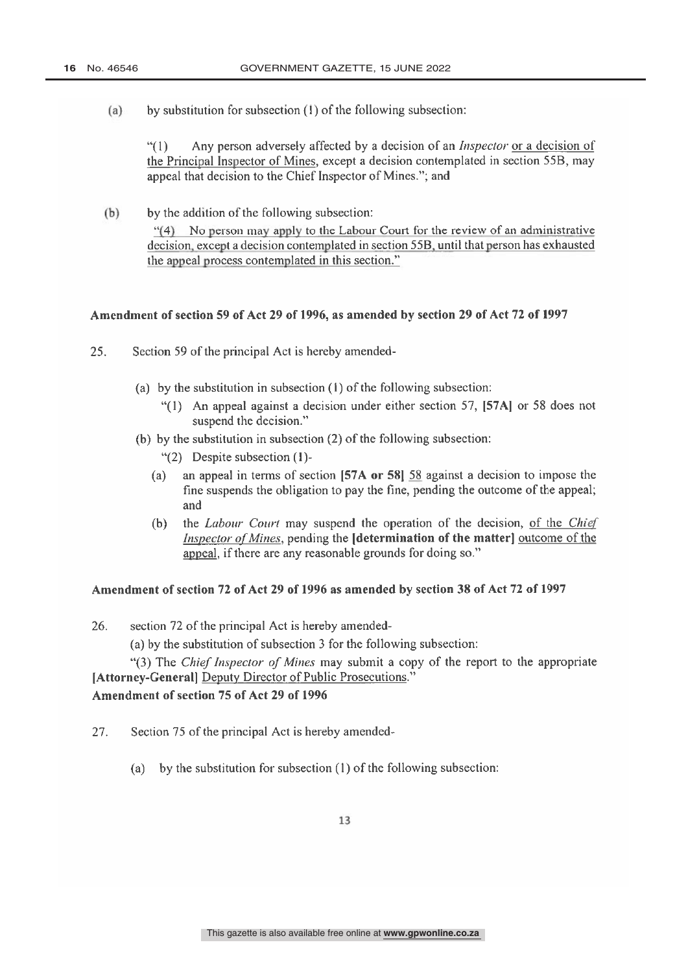$(a)$ by substitution for subsection (1) of the following subsection:

> $\frac{1}{2}$ Any person adversely affected by a decision of an *Inspector* or a decision of the Principal Inspector of Mines, except a decision contemplated in section 55B, may appeal that decision to the Chief Inspector of Mines."; and

 $(b)$ by the addition of the following subsection:

> "(4) No person may apply to the Labour Court for the review of an administrative decision, except a decision contemplated in section 55B, until that person has exhausted the appeal process contemplated in this section."

## Amendment of section 59 of Act 29 of 1996, as amended by section 29 of Act 72 of 1997

- 25. Section 59 of the principal Act is hereby amended-
	- (a) by the substitution in subsection  $(1)$  of the following subsection:
		- "(1) An appeal against a decision under either section 57, [57A] or 58 does not suspend the decision."
	- (b) by the substitution in subsection (2) of the following subsection:
		- $\lq(2)$  Despite subsection (1)-
		- an appeal in terms of section [57A or 58] 58 against a decision to impose the  $(a)$ fine suspends the obligation to pay the fine, pending the outcome of the appeal; and
		- the Labour Court may suspend the operation of the decision, of the Chief  $(b)$ *Inspector of Mines*, pending the **[determination of the matter]** outcome of the appeal, if there are any reasonable grounds for doing so."

#### Amendment of section 72 of Act 29 of 1996 as amended by section 38 of Act 72 of 1997

26. section 72 of the principal Act is hereby amended-

(a) by the substitution of subsection 3 for the following subsection:

"(3) The Chief Inspector of Mines may submit a copy of the report to the appropriate [Attorney-General] Deputy Director of Public Prosecutions."

## Amendment of section 75 of Act 29 of 1996

- 27. Section 75 of the principal Act is hereby amended-
	- (a) by the substitution for subsection  $(1)$  of the following subsection: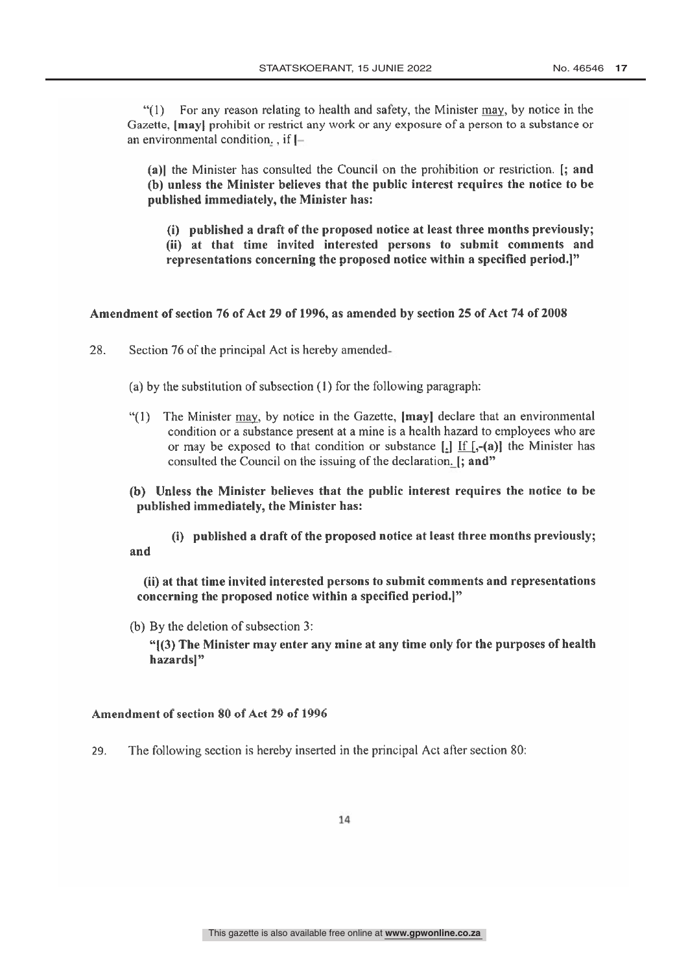For any reason relating to health and safety, the Minister may, by notice in the  $(1)$ Gazette, [may] prohibit or restrict any work or any exposure of a person to a substance or an environmental condition,  $\int$ , if  $\left[-\right]$ 

(a)] the Minister has consulted the Council on the prohibition or restriction. [; and (b) unless the Minister believes that the public interest requires the notice to be published immediately, the Minister has:

(i) published a draft of the proposed notice at least three months previously; (ii) at that time invited interested persons to submit comments and representations concerning the proposed notice within a specified period.]"

## Amendment of section 76 of Act 29 of 1996, as amended by section 25 of Act 74 of 2008

28. Section 76 of the principal Act is hereby amended-

(a) by the substitution of subsection  $(1)$  for the following paragraph:

- "(1) The Minister may, by notice in the Gazette, [may] declare that an environmental condition or a substance present at a mine is a health hazard to employees who are or may be exposed to that condition or substance  $[\cdot]$  If  $[\cdot, -(\mathbf{a})]$  the Minister has consulted the Council on the issuing of the declaration. [; and"
- (b) Unless the Minister believes that the public interest requires the notice to be published immediately, the Minister has:

(i) published a draft of the proposed notice at least three months previously; and

(ii) at that time invited interested persons to submit comments and representations concerning the proposed notice within a specified period.]"

(b) By the deletion of subsection 3:

"[(3) The Minister may enter any mine at any time only for the purposes of health hazards]"

#### Amendment of section 80 of Act 29 of 1996

29. The following section is hereby inserted in the principal Act after section 80: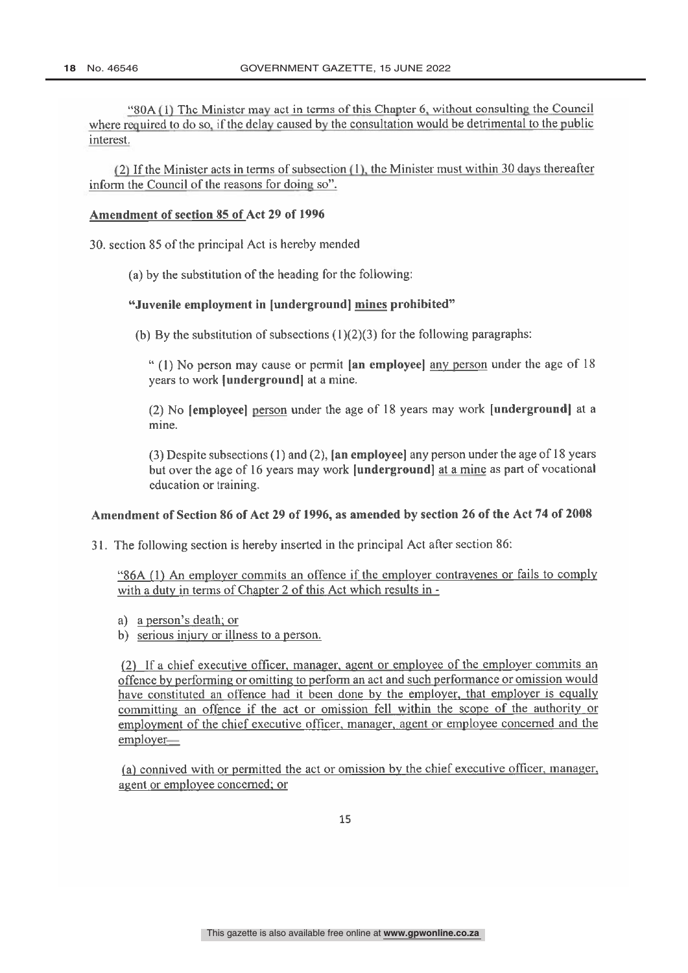"80A (1) The Minister may act in terms of this Chapter 6, without consulting the Council where required to do so, if the delay caused by the consultation would be detrimental to the public interest.

(2) If the Minister acts in terms of subsection (1), the Minister must within 30 days thereafter inform the Council of the reasons for doing so".

#### Amendment of section 85 of Act 29 of 1996

30. section 85 of the principal Act is hereby mended

(a) by the substitution of the heading for the following:

## "Juvenile employment in [underground] mines prohibited"

(b) By the substitution of subsections  $(1)(2)(3)$  for the following paragraphs:

"(1) No person may cause or permit [an employee] any person under the age of 18 years to work [underground] at a mine.

(2) No [employee] person under the age of 18 years may work [underground] at a mine.

 $(3)$  Despite subsections  $(1)$  and  $(2)$ , [an employee] any person under the age of 18 years but over the age of 16 years may work [underground] at a mine as part of vocational education or training.

## Amendment of Section 86 of Act 29 of 1996, as amended by section 26 of the Act 74 of 2008

31. The following section is hereby inserted in the principal Act after section 86:

"86A (1) An employer commits an offence if the employer contravenes or fails to comply with a duty in terms of Chapter 2 of this Act which results in -

- a) a person's death; or
- b) serious injury or illness to a person.

(2) If a chief executive officer, manager, agent or employee of the employer commits an offence by performing or omitting to perform an act and such performance or omission would have constituted an offence had it been done by the employer, that employer is equally committing an offence if the act or omission fell within the scope of the authority or employment of the chief executive officer, manager, agent or employee concerned and the employer-

(a) connived with or permitted the act or omission by the chief executive officer, manager, agent or employee concerned; or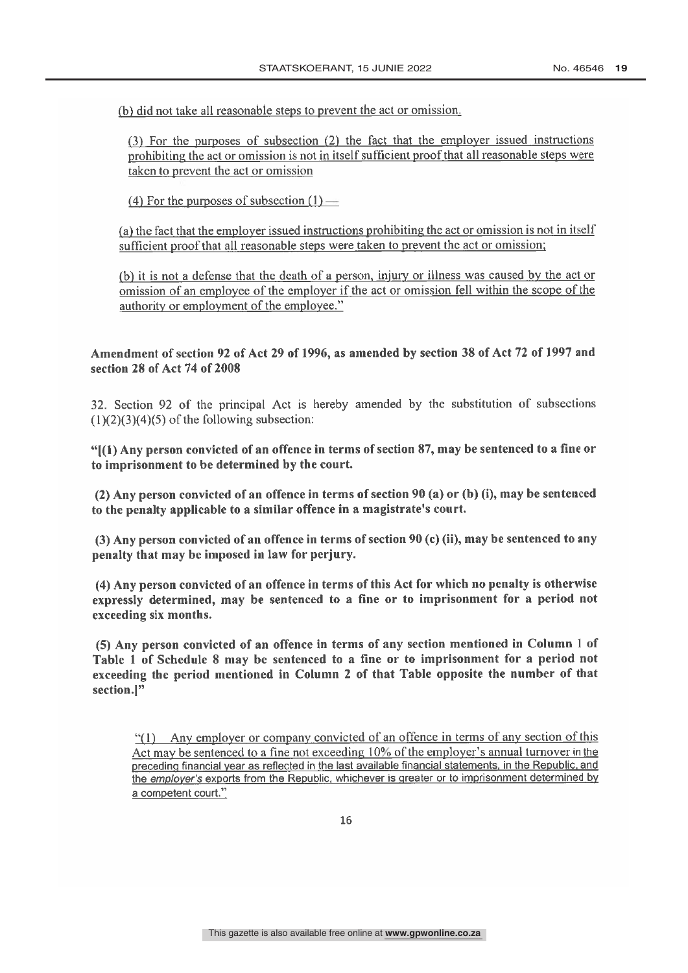(b) did not take all reasonable steps to prevent the act or omission.

(3) For the purposes of subsection (2) the fact that the employer issued instructions prohibiting the act or omission is not in itself sufficient proof that all reasonable steps were taken to prevent the act or omission

(4) For the purposes of subsection  $(1)$  —

(a) the fact that the employer issued instructions prohibiting the act or omission is not in itself sufficient proof that all reasonable steps were taken to prevent the act or omission;

(b) it is not a defense that the death of a person, injury or illness was caused by the act or omission of an employee of the employer if the act or omission fell within the scope of the authority or employment of the employee."

## Amendment of section 92 of Act 29 of 1996, as amended by section 38 of Act 72 of 1997 and section 28 of Act 74 of 2008

32. Section 92 of the principal Act is hereby amended by the substitution of subsections  $(1)(2)(3)(4)(5)$  of the following subsection:

" $(1)$  Any person convicted of an offence in terms of section 87, may be sentenced to a fine or to imprisonment to be determined by the court.

(2) Any person convicted of an offence in terms of section 90 (a) or (b) (i), may be sentenced to the penalty applicable to a similar offence in a magistrate's court.

(3) Any person convicted of an offence in terms of section 90 (c) (ii), may be sentenced to any penalty that may be imposed in law for perjury.

(4) Any person convicted of an offence in terms of this Act for which no penalty is otherwise expressly determined, may be sentenced to a fine or to imprisonment for a period not exceeding six months.

(5) Any person convicted of an offence in terms of any section mentioned in Column 1 of Table 1 of Schedule 8 may be sentenced to a fine or to imprisonment for a period not exceeding the period mentioned in Column 2 of that Table opposite the number of that section.]"

"(1) Any employer or company convicted of an offence in terms of any section of this Act may be sentenced to a fine not exceeding 10% of the employer's annual turnover in the preceding financial year as reflected in the last available financial statements, in the Republic, and the employer's exports from the Republic, whichever is greater or to imprisonment determined by a competent court."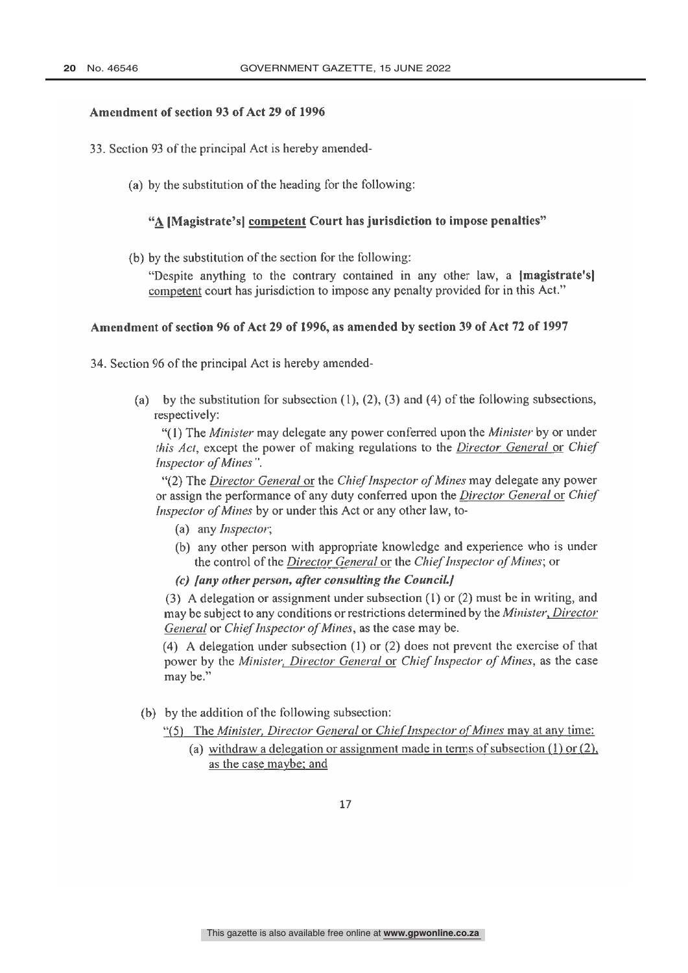### Amendment of section 93 of Act 29 of 1996

- 33. Section 93 of the principal Act is hereby amended-
	- (a) by the substitution of the heading for the following:

## "A [Magistrate's] competent Court has jurisdiction to impose penalties"

(b) by the substitution of the section for the following:

"Despite anything to the contrary contained in any other law, a **Imagistrate's** competent court has jurisdiction to impose any penalty provided for in this Act."

#### Amendment of section 96 of Act 29 of 1996, as amended by section 39 of Act 72 of 1997

34. Section 96 of the principal Act is hereby amended-

(a) by the substitution for subsection  $(1)$ ,  $(2)$ ,  $(3)$  and  $(4)$  of the following subsections, respectively:

"(1) The *Minister* may delegate any power conferred upon the *Minister* by or under this Act, except the power of making regulations to the Director General or Chief Inspector of Mines".

"(2) The Director General or the Chief Inspector of Mines may delegate any power or assign the performance of any duty conferred upon the *Director General* or *Chief* Inspector of Mines by or under this Act or any other law, to-

- (a) any *Inspector*;
- (b) any other person with appropriate knowledge and experience who is under the control of the Director General or the Chief Inspector of Mines; or
- (c) Jany other person, after consulting the Council.]

(3) A delegation or assignment under subsection (1) or (2) must be in writing, and may be subject to any conditions or restrictions determined by the Minister, Director General or Chief Inspector of Mines, as the case may be.

(4) A delegation under subsection (1) or (2) does not prevent the exercise of that power by the Minister, Director General or Chief Inspector of Mines, as the case may be."

(b) by the addition of the following subsection:

"(5) The Minister, Director General or Chief Inspector of Mines may at any time:

(a) withdraw a delegation or assignment made in terms of subsection  $(1)$  or  $(2)$ , as the case maybe; and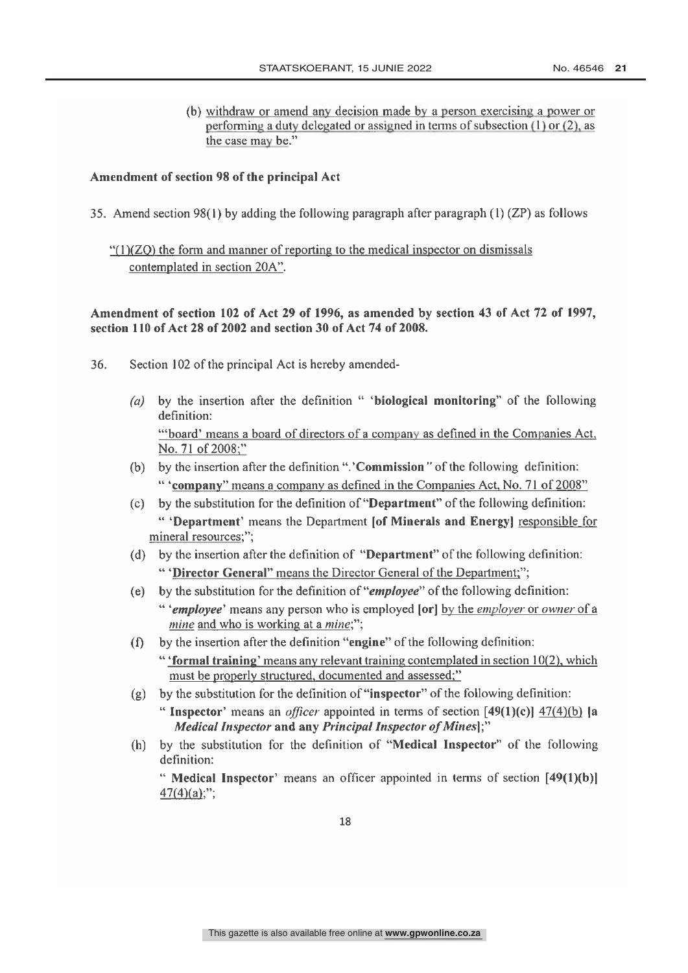(b) withdraw or amend any decision made by a person exercising a power or performing a duty delegated or assigned in terms of subsection  $(1)$  or  $(2)$ , as the case may be."

## Amendment of section 98 of the principal Act

35. Amend section 98(1) by adding the following paragraph after paragraph  $(1)(ZP)$  as follows

 $\lq(1)(ZO)$  the form and manner of reporting to the medical inspector on dismissals contemplated in section 20A".

## Amendment of section 102 of Act 29 of 1996, as amended by section 43 of Act 72 of 1997, section 110 of Act 28 of 2002 and section 30 of Act 74 of 2008.

- 36. Section 102 of the principal Act is hereby amended
	- by the insertion after the definition " 'biological monitoring" of the following  $(a)$ definition: "board' means a board of directors of a company as defined in the Companies Act, No. 71 of 2008;"
	- (b) by the insertion after the definition ".'Commission" of the following definition: "Company" means a company as defined in the Companies Act, No. 71 of 2008"
	- (c) by the substitution for the definition of "Department" of the following definition: " 'Department' means the Department [of Minerals and Energy] responsible for mineral resources;";
	- (d) by the insertion after the definition of "Department" of the following definition: " 'Director General" means the Director General of the Department;";
	- by the substitution for the definition of "*employee*" of the following definition:  $(e)$ " 'employee' means any person who is employed [or] by the *employer* or *owner* of a mine and who is working at a mine;";
	- by the insertion after the definition "engine" of the following definition:  $(f)$ "'formal training' means any relevant training contemplated in section 10(2), which must be properly structured, documented and assessed;"
	- $(g)$  by the substitution for the definition of "inspector" of the following definition:
		- " Inspector' means an *officer* appointed in terms of section  $[49(1)(c)]$   $47(4)(b)$  [a Medical Inspector and any Principal Inspector of Mines];"
	- (h) by the substitution for the definition of "Medical Inspector" of the following definition:

" Medical Inspector" means an officer appointed in terms of section  $[49(1)(b)]$  $47(4)(a)$ ;";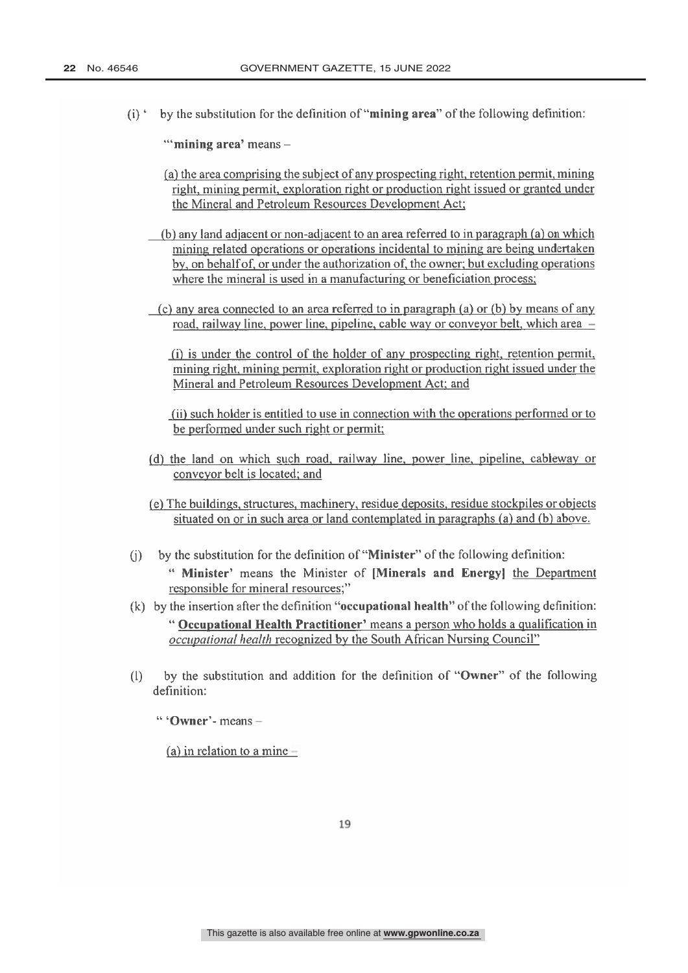$(i)$  by the substitution for the definition of "mining area" of the following definition:

"mining area' means -

- (a) the area comprising the subject of any prospecting right, retention permit, mining right, mining permit, exploration right or production right issued or granted under the Mineral and Petroleum Resources Development Act;
- (b) any land adjacent or non-adjacent to an area referred to in paragraph (a) on which mining related operations or operations incidental to mining are being undertaken by, on behalf of, or under the authorization of, the owner; but excluding operations where the mineral is used in a manufacturing or beneficiation process;
- (c) any area connected to an area referred to in paragraph (a) or (b) by means of any road, railway line, power line, pipeline, cable way or conveyor belt, which area -
	- (i) is under the control of the holder of any prospecting right, retention permit, mining right, mining permit, exploration right or production right issued under the Mineral and Petroleum Resources Development Act; and

(ii) such holder is entitled to use in connection with the operations performed or to be performed under such right or permit;

- (d) the land on which such road, railway line, power line, pipeline, cableway or conveyor belt is located; and
- (e) The buildings, structures, machinery, residue deposits, residue stockpiles or objects situated on or in such area or land contemplated in paragraphs (a) and (b) above.
- by the substitution for the definition of "Minister" of the following definition:  $(i)$ " Minister' means the Minister of [Minerals and Energy] the Department responsible for mineral resources;"
- $(k)$  by the insertion after the definition "occupational health" of the following definition: " Occupational Health Practitioner' means a person who holds a qualification in *occupational health* recognized by the South African Nursing Council"
- $(1)$ by the substitution and addition for the definition of "Owner" of the following definition:

" 'Owner'- means  $-$ 

(a) in relation to a mine  $-$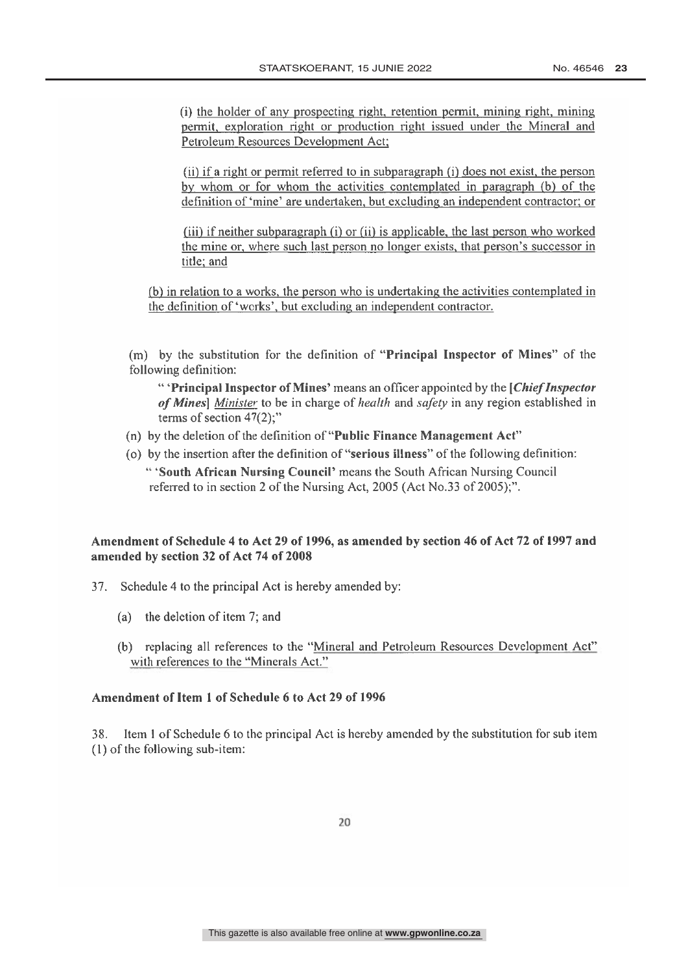(i) the holder of any prospecting right, retention permit, mining right, mining permit, exploration right or production right issued under the Mineral and Petroleum Resources Development Act;

(ii) if a right or permit referred to in subparagraph (i) does not exist, the person by whom or for whom the activities contemplated in paragraph (b) of the definition of 'mine' are undertaken, but excluding an independent contractor; or

(iii) if neither subparagraph (i) or (ii) is applicable, the last person who worked the mine or, where such last person no longer exists, that person's successor in title; and

(b) in relation to a works, the person who is undertaking the activities contemplated in the definition of 'works', but excluding an independent contractor.

(m) by the substitution for the definition of "Principal Inspector of Mines" of the following definition:

" Principal Inspector of Mines' means an officer appointed by the *Chief Inspector* of Mines] Minister to be in charge of health and safety in any region established in terms of section  $47(2)$ ;"

- (n) by the deletion of the definition of "Public Finance Management Act"
- (o) by the insertion after the definition of "serious illness" of the following definition: "South African Nursing Council' means the South African Nursing Council referred to in section 2 of the Nursing Act, 2005 (Act No.33 of 2005);".

## Amendment of Schedule 4 to Act 29 of 1996, as amended by section 46 of Act 72 of 1997 and amended by section 32 of Act 74 of 2008

- 37. Schedule 4 to the principal Act is hereby amended by:
	- (a) the deletion of item 7; and
	- (b) replacing all references to the "Mineral and Petroleum Resources Development Act" with references to the "Minerals Act."

## Amendment of Item 1 of Schedule 6 to Act 29 of 1996

Item 1 of Schedule 6 to the principal Act is hereby amended by the substitution for sub item 38. (1) of the following sub-item: